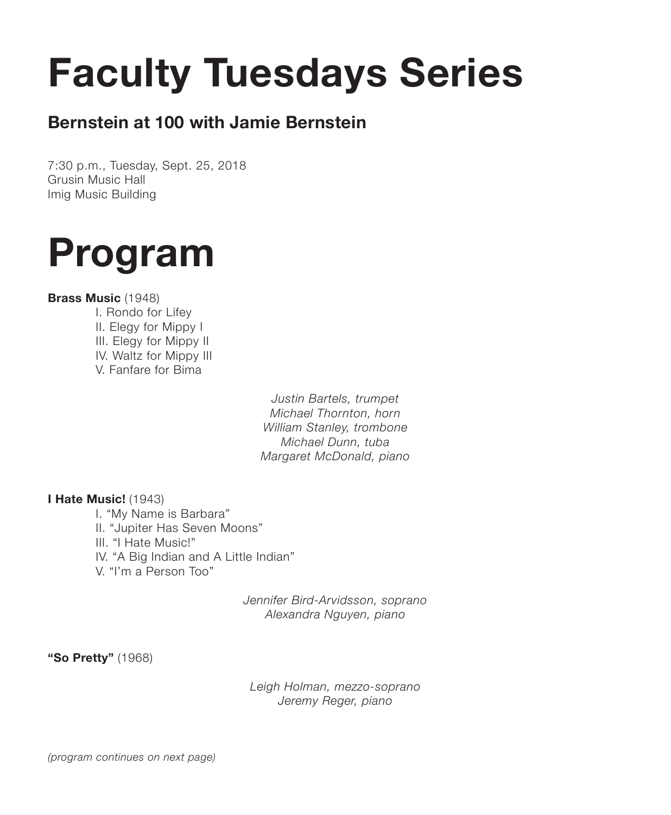# **Faculty Tuesdays Series**

# **Bernstein at 100 with Jamie Bernstein**

7:30 p.m., Tuesday, Sept. 25, 2018 Grusin Music Hall Imig Music Building

# **Program**

# **Brass Music** (1948)

I. Rondo for Lifey II. Elegy for Mippy I III. Elegy for Mippy II IV. Waltz for Mippy III V. Fanfare for Bima

> *Justin Bartels, trumpet Michael Thornton, horn William Stanley, trombone Michael Dunn, tuba Margaret McDonald, piano*

# **I Hate Music!** (1943)

I. "My Name is Barbara" II. "Jupiter Has Seven Moons" III. "I Hate Music!" IV. "A Big Indian and A Little Indian" V. "I'm a Person Too"

> *Jennifer Bird-Arvidsson, soprano Alexandra Nguyen, piano*

**"So Pretty"** (1968)

*Leigh Holman, mezzo-soprano Jeremy Reger, piano*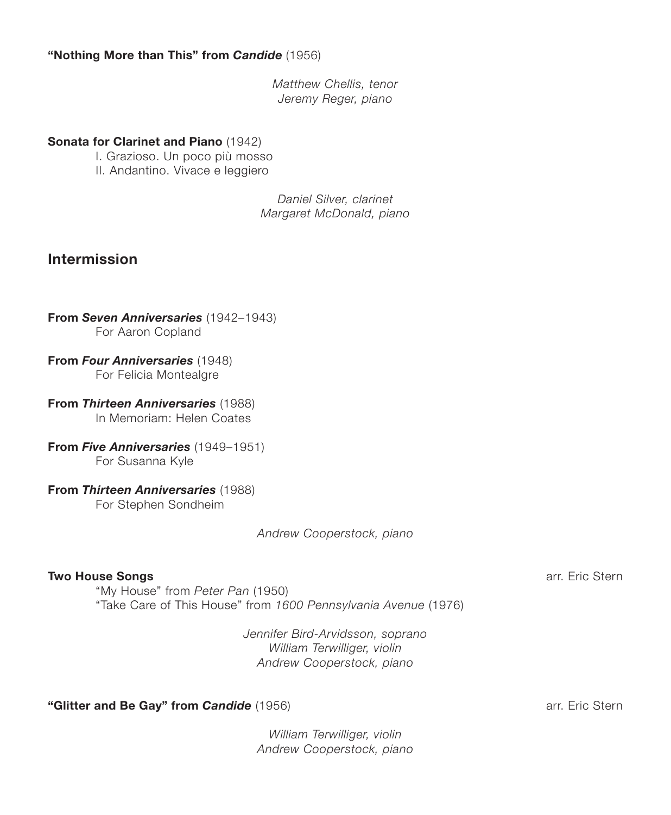## **"Nothing More than This" from** *Candide* (1956)

*Matthew Chellis, tenor Jeremy Reger, piano*

#### **Sonata for Clarinet and Piano** (1942)

I. Grazioso. Un poco più mosso II. Andantino. Vivace e leggiero

> *Daniel Silver, clarinet Margaret McDonald, piano*

# **Intermission**

**From** *Seven Anniversaries* (1942–1943) For Aaron Copland

**From** *Four Anniversaries* (1948) For Felicia Montealgre

**From** *Thirteen Anniversaries* (1988) In Memoriam: Helen Coates

**From** *Five Anniversaries* (1949–1951) For Susanna Kyle

# **From** *Thirteen Anniversaries* (1988)

For Stephen Sondheim

*Andrew Cooperstock, piano*

# **Two House Songs** and **The Example 2008** and **The Example 2008** and **The Example 2008** arr. Eric Stern and **The Example 2009** and **The Example 2009** and **The Example 2009** and **The Example 2009** and **The Example 2009** and

"My House" from *Peter Pan* (1950) "Take Care of This House" from *1600 Pennsylvania Avenue* (1976)

> *Jennifer Bird-Arvidsson, soprano William Terwilliger, violin Andrew Cooperstock, piano*

**"Glitter and Be Gay" from** *Candide* (1956) **arr. Eric Stern and Be Gay" from** *Candide* (1956)

*William Terwilliger, violin Andrew Cooperstock, piano*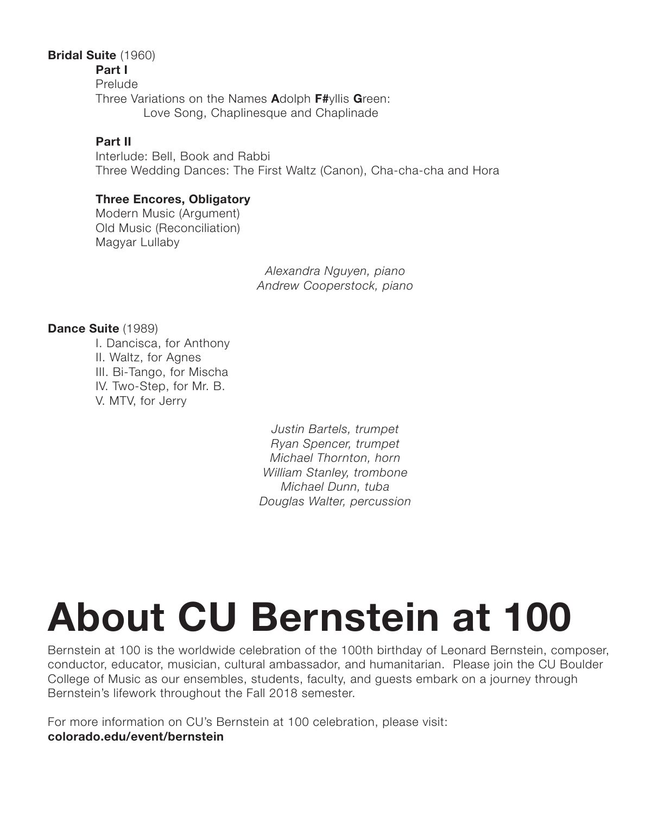**Bridal Suite** (1960) **Part I** Prelude Three Variations on the Names **A**dolph **F#**yllis **G**reen: Love Song, Chaplinesque and Chaplinade

## **Part II**

Interlude: Bell, Book and Rabbi Three Wedding Dances: The First Waltz (Canon), Cha-cha-cha and Hora

#### **Three Encores, Obligatory**

Modern Music (Argument) Old Music (Reconciliation) Magyar Lullaby

> *Alexandra Nguyen, piano Andrew Cooperstock, piano*

**Dance Suite** (1989)

I. Dancisca, for Anthony II. Waltz, for Agnes III. Bi-Tango, for Mischa IV. Two-Step, for Mr. B. V. MTV, for Jerry

> *Justin Bartels, trumpet Ryan Spencer, trumpet Michael Thornton, horn William Stanley, trombone Michael Dunn, tuba Douglas Walter, percussion*

# **About CU Bernstein at 100**

Bernstein at 100 is the worldwide celebration of the 100th birthday of Leonard Bernstein, composer, conductor, educator, musician, cultural ambassador, and humanitarian. Please join the CU Boulder College of Music as our ensembles, students, faculty, and guests embark on a journey through Bernstein's lifework throughout the Fall 2018 semester.

For more information on CU's Bernstein at 100 celebration, please visit: **colorado.edu/event/bernstein**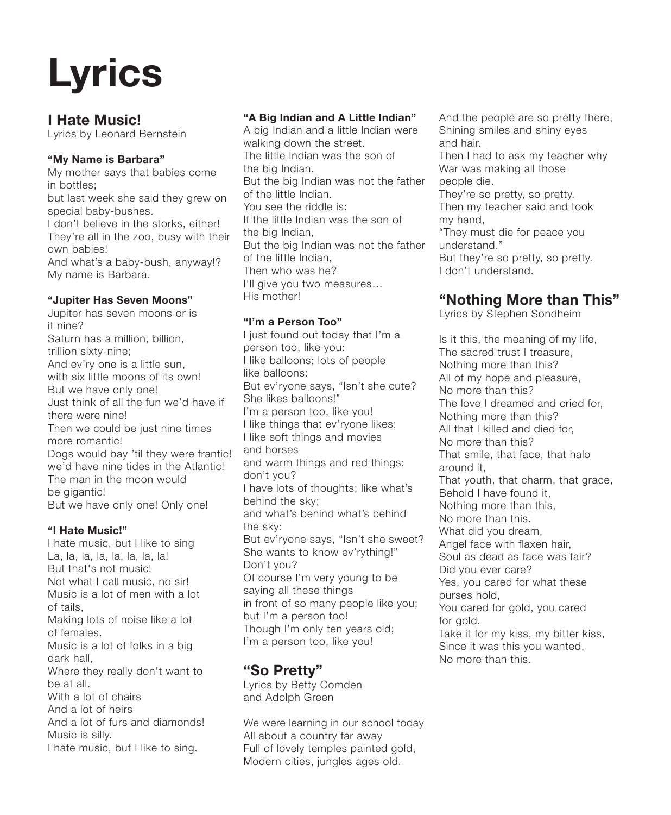# **Lyrics**

# **I Hate Music!**

Lyrics by Leonard Bernstein

## **"My Name is Barbara"**

My mother says that babies come in bottles;

but last week she said they grew on special baby-bushes.

I don't believe in the storks, either! They're all in the zoo, busy with their own babies!

And what's a baby-bush, anyway!? My name is Barbara.

## **"Jupiter Has Seven Moons"**

Jupiter has seven moons or is it nine? Saturn has a million, billion, trillion sixty-nine; And ev'ry one is a little sun, with six little moons of its own! But we have only one! Just think of all the fun we'd have if there were nine! Then we could be just nine times more romantic! Dogs would bay 'til they were frantic! we'd have nine tides in the Atlantic! The man in the moon would be gigantic! But we have only one! Only one!

#### **"I Hate Music!"**

I hate music, but I like to sing La, la, la, la, la, la, la! But that's not music! Not what I call music, no sir! Music is a lot of men with a lot of tails, Making lots of noise like a lot of females. Music is a lot of folks in a big dark hall, Where they really don't want to be at all. With a lot of chairs And a lot of heirs And a lot of furs and diamonds! Music is silly. I hate music, but I like to sing.

#### **"A Big Indian and A Little Indian"**

A big Indian and a little Indian were walking down the street. The little Indian was the son of the big Indian. But the big Indian was not the father of the little Indian. You see the riddle is: If the little Indian was the son of the big Indian, But the big Indian was not the father of the little Indian, Then who was he? I'll give you two measures… His mother!

## **"I'm a Person Too"**

I just found out today that I'm a person too, like you: I like balloons; lots of people like balloons: But ev'ryone says, "Isn't she cute? She likes balloons!" I'm a person too, like you! I like things that ev'ryone likes: I like soft things and movies and horses and warm things and red things: don't you? I have lots of thoughts; like what's behind the sky; and what's behind what's behind the sky: But ev'ryone says, "Isn't she sweet? She wants to know ev'rything!" Don't you? Of course I'm very young to be saying all these things in front of so many people like you; but I'm a person too! Though I'm only ten years old; I'm a person too, like you!

# **"So Pretty"**

Lyrics by Betty Comden and Adolph Green

We were learning in our school today All about a country far away Full of lovely temples painted gold, Modern cities, jungles ages old.

And the people are so pretty there, Shining smiles and shiny eyes and hair.

Then I had to ask my teacher why War was making all those people die.

They're so pretty, so pretty. Then my teacher said and took my hand,

"They must die for peace you understand." But they're so pretty, so pretty. I don't understand.

# **"Nothing More than This"**

Lyrics by Stephen Sondheim

Is it this, the meaning of my life, The sacred trust I treasure, Nothing more than this? All of my hope and pleasure, No more than this? The love I dreamed and cried for, Nothing more than this? All that I killed and died for, No more than this? That smile, that face, that halo around it, That youth, that charm, that grace, Behold I have found it, Nothing more than this, No more than this. What did you dream, Angel face with flaxen hair, Soul as dead as face was fair? Did you ever care? Yes, you cared for what these purses hold, You cared for gold, you cared for gold. Take it for my kiss, my bitter kiss, Since it was this you wanted, No more than this.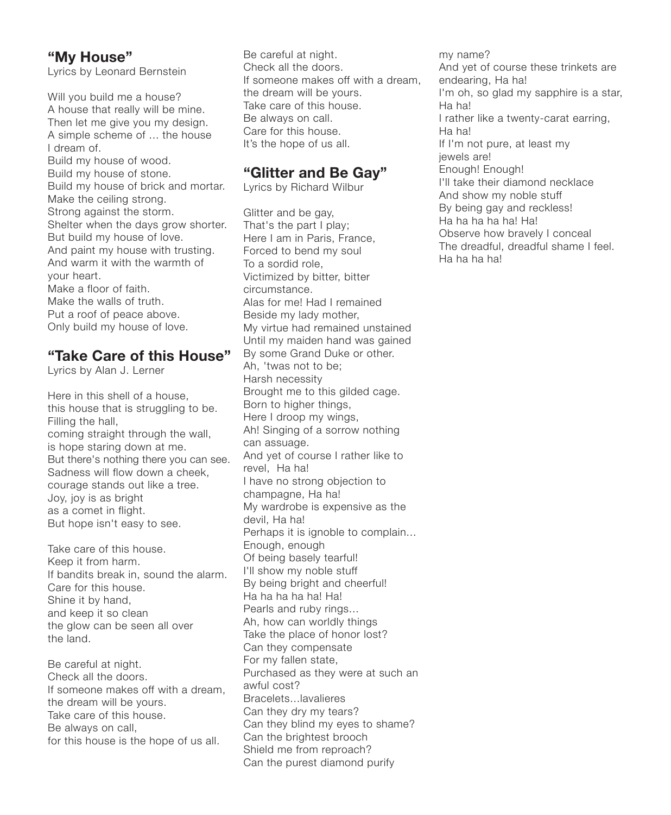# **"My House"**

Lyrics by Leonard Bernstein

Will you build me a house? A house that really will be mine. Then let me give you my design. A simple scheme of ... the house I dream of. Build my house of wood. Build my house of stone. Build my house of brick and mortar. Make the ceiling strong. Strong against the storm. Shelter when the days grow shorter. But build my house of love. And paint my house with trusting. And warm it with the warmth of your heart. Make a floor of faith. Make the walls of truth. Put a roof of peace above. Only build my house of love.

# **"Take Care of this House"**

Lyrics by Alan J. Lerner

Here in this shell of a house, this house that is struggling to be. Filling the hall, coming straight through the wall, is hope staring down at me. But there's nothing there you can see. Sadness will flow down a cheek, courage stands out like a tree. Joy, joy is as bright as a comet in flight. But hope isn't easy to see.

Take care of this house. Keep it from harm. If bandits break in, sound the alarm. Care for this house. Shine it by hand, and keep it so clean the glow can be seen all over the land.

Be careful at night. Check all the doors. If someone makes off with a dream, the dream will be yours. Take care of this house. Be always on call, for this house is the hope of us all.

Be careful at night. Check all the doors. If someone makes off with a dream, the dream will be yours. Take care of this house. Be always on call. Care for this house. It's the hope of us all.

# **"Glitter and Be Gay"**

Lyrics by Richard Wilbur

Glitter and be gay, That's the part I play; Here I am in Paris, France, Forced to bend my soul To a sordid role, Victimized by bitter, bitter circumstance. Alas for me! Had I remained Beside my lady mother, My virtue had remained unstained Until my maiden hand was gained By some Grand Duke or other. Ah, 'twas not to be; Harsh necessity Brought me to this gilded cage. Born to higher things, Here I droop my wings, Ah! Singing of a sorrow nothing can assuage. And yet of course I rather like to revel, Ha ha! I have no strong objection to champagne, Ha ha! My wardrobe is expensive as the devil, Ha ha! Perhaps it is ignoble to complain... Enough, enough Of being basely tearful! I'll show my noble stuff By being bright and cheerful! Ha ha ha ha! Ha! Pearls and ruby rings... Ah, how can worldly things Take the place of honor lost? Can they compensate For my fallen state, Purchased as they were at such an awful cost? Bracelets...lavalieres Can they dry my tears? Can they blind my eyes to shame? Can the brightest brooch Shield me from reproach? Can the purest diamond purify

my name? And yet of course these trinkets are endearing, Ha ha! I'm oh, so glad my sapphire is a star, Ha ha! I rather like a twenty-carat earring, Ha ha! If I'm not pure, at least my jewels are! Enough! Enough! I'll take their diamond necklace And show my noble stuff By being gay and reckless! Ha ha ha ha! Ha! Observe how bravely I conceal The dreadful, dreadful shame I feel. Ha ha ha!